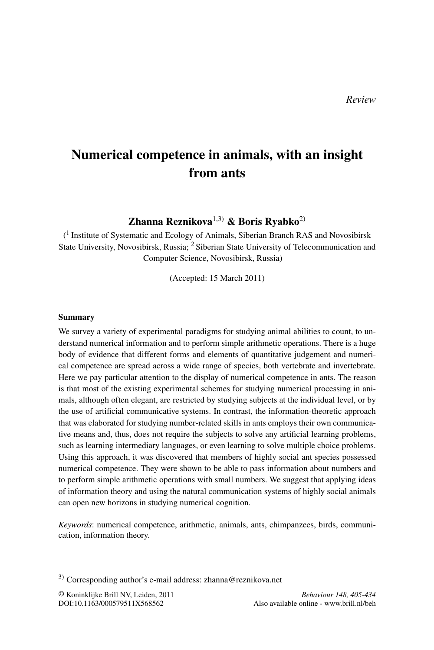# **Numerical competence in animals, with an insight from ants**

## **Zhanna Reznikova**1,3) **& Boris Ryabko**2)

( <sup>1</sup> Institute of Systematic and Ecology of Animals, Siberian Branch RAS and Novosibirsk State University, Novosibirsk, Russia; <sup>2</sup> Siberian State University of Telecommunication and Computer Science, Novosibirsk, Russia)

(Accepted: 15 March 2011)

#### **Summary**

We survey a variety of experimental paradigms for studying animal abilities to count, to understand numerical information and to perform simple arithmetic operations. There is a huge body of evidence that different forms and elements of quantitative judgement and numerical competence are spread across a wide range of species, both vertebrate and invertebrate. Here we pay particular attention to the display of numerical competence in ants. The reason is that most of the existing experimental schemes for studying numerical processing in animals, although often elegant, are restricted by studying subjects at the individual level, or by the use of artificial communicative systems. In contrast, the information-theoretic approach that was elaborated for studying number-related skills in ants employs their own communicative means and, thus, does not require the subjects to solve any artificial learning problems, such as learning intermediary languages, or even learning to solve multiple choice problems. Using this approach, it was discovered that members of highly social ant species possessed numerical competence. They were shown to be able to pass information about numbers and to perform simple arithmetic operations with small numbers. We suggest that applying ideas of information theory and using the natural communication systems of highly social animals can open new horizons in studying numerical cognition.

*Keywords*: numerical competence, arithmetic, animals, ants, chimpanzees, birds, communication, information theory.

<sup>3)</sup> Corresponding author's e-mail address: zhanna@reznikova.net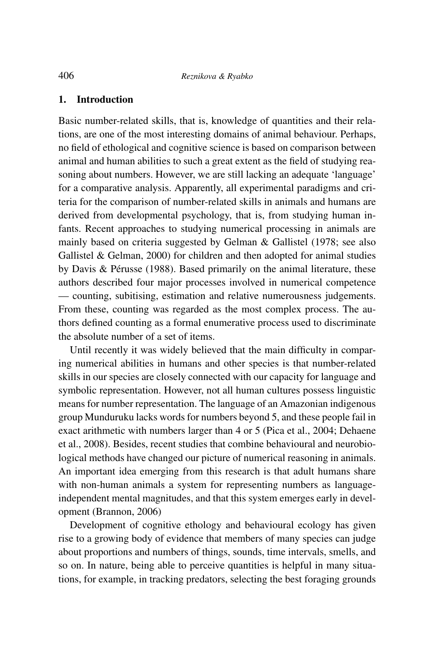#### **1. Introduction**

Basic number-related skills, that is, knowledge of quantities and their relations, are one of the most interesting domains of animal behaviour. Perhaps, no field of ethological and cognitive science is based on comparison between animal and human abilities to such a great extent as the field of studying reasoning about numbers. However, we are still lacking an adequate 'language' for a comparative analysis. Apparently, all experimental paradigms and criteria for the comparison of number-related skills in animals and humans are derived from developmental psychology, that is, from studying human infants. Recent approaches to studying numerical processing in animals are mainly based on criteria suggested by Gelman & Gallistel (1978; see also Gallistel & Gelman, 2000) for children and then adopted for animal studies by Davis & Pérusse (1988). Based primarily on the animal literature, these authors described four major processes involved in numerical competence — counting, subitising, estimation and relative numerousness judgements. From these, counting was regarded as the most complex process. The authors defined counting as a formal enumerative process used to discriminate the absolute number of a set of items.

Until recently it was widely believed that the main difficulty in comparing numerical abilities in humans and other species is that number-related skills in our species are closely connected with our capacity for language and symbolic representation. However, not all human cultures possess linguistic means for number representation. The language of an Amazonian indigenous group Munduruku lacks words for numbers beyond 5, and these people fail in exact arithmetic with numbers larger than 4 or 5 (Pica et al., 2004; Dehaene et al., 2008). Besides, recent studies that combine behavioural and neurobiological methods have changed our picture of numerical reasoning in animals. An important idea emerging from this research is that adult humans share with non-human animals a system for representing numbers as languageindependent mental magnitudes, and that this system emerges early in development (Brannon, 2006)

Development of cognitive ethology and behavioural ecology has given rise to a growing body of evidence that members of many species can judge about proportions and numbers of things, sounds, time intervals, smells, and so on. In nature, being able to perceive quantities is helpful in many situations, for example, in tracking predators, selecting the best foraging grounds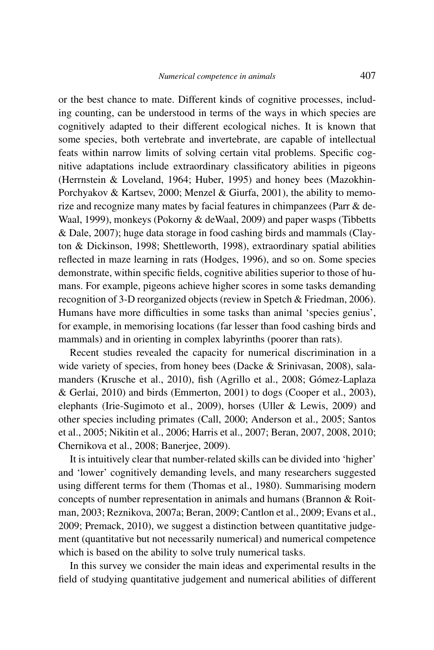or the best chance to mate. Different kinds of cognitive processes, including counting, can be understood in terms of the ways in which species are cognitively adapted to their different ecological niches. It is known that some species, both vertebrate and invertebrate, are capable of intellectual feats within narrow limits of solving certain vital problems. Specific cognitive adaptations include extraordinary classificatory abilities in pigeons (Herrnstein & Loveland, 1964; Huber, 1995) and honey bees (Mazokhin-Porchyakov & Kartsev, 2000; Menzel & Giurfa, 2001), the ability to memorize and recognize many mates by facial features in chimpanzees (Parr & de-Waal, 1999), monkeys (Pokorny & deWaal, 2009) and paper wasps (Tibbetts & Dale, 2007); huge data storage in food cashing birds and mammals (Clayton & Dickinson, 1998; Shettleworth, 1998), extraordinary spatial abilities reflected in maze learning in rats (Hodges, 1996), and so on. Some species demonstrate, within specific fields, cognitive abilities superior to those of humans. For example, pigeons achieve higher scores in some tasks demanding recognition of 3-D reorganized objects (review in Spetch & Friedman, 2006). Humans have more difficulties in some tasks than animal 'species genius', for example, in memorising locations (far lesser than food cashing birds and mammals) and in orienting in complex labyrinths (poorer than rats).

Recent studies revealed the capacity for numerical discrimination in a wide variety of species, from honey bees (Dacke & Srinivasan, 2008), salamanders (Krusche et al., 2010), fish (Agrillo et al., 2008; Gómez-Laplaza & Gerlai, 2010) and birds (Emmerton, 2001) to dogs (Cooper et al., 2003), elephants (Irie-Sugimoto et al., 2009), horses (Uller & Lewis, 2009) and other species including primates (Call, 2000; Anderson et al., 2005; Santos et al., 2005; Nikitin et al., 2006; Harris et al., 2007; Beran, 2007, 2008, 2010; Chernikova et al., 2008; Banerjee, 2009).

It is intuitively clear that number-related skills can be divided into 'higher' and 'lower' cognitively demanding levels, and many researchers suggested using different terms for them (Thomas et al., 1980). Summarising modern concepts of number representation in animals and humans (Brannon & Roitman, 2003; Reznikova, 2007a; Beran, 2009; Cantlon et al., 2009; Evans et al., 2009; Premack, 2010), we suggest a distinction between quantitative judgement (quantitative but not necessarily numerical) and numerical competence which is based on the ability to solve truly numerical tasks.

In this survey we consider the main ideas and experimental results in the field of studying quantitative judgement and numerical abilities of different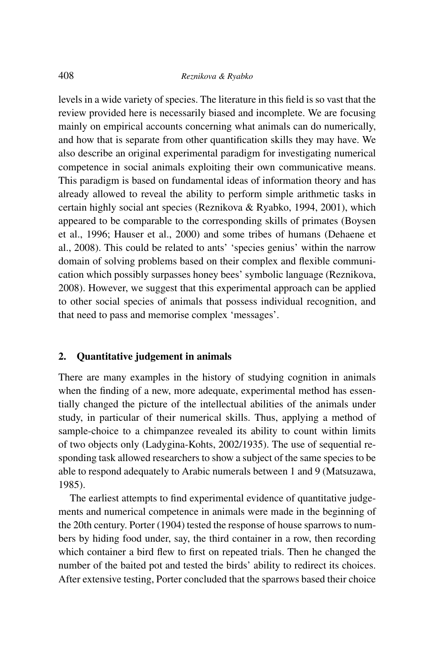levels in a wide variety of species. The literature in this field is so vast that the review provided here is necessarily biased and incomplete. We are focusing mainly on empirical accounts concerning what animals can do numerically, and how that is separate from other quantification skills they may have. We also describe an original experimental paradigm for investigating numerical competence in social animals exploiting their own communicative means. This paradigm is based on fundamental ideas of information theory and has already allowed to reveal the ability to perform simple arithmetic tasks in certain highly social ant species (Reznikova & Ryabko, 1994, 2001), which appeared to be comparable to the corresponding skills of primates (Boysen et al., 1996; Hauser et al., 2000) and some tribes of humans (Dehaene et al., 2008). This could be related to ants' 'species genius' within the narrow domain of solving problems based on their complex and flexible communication which possibly surpasses honey bees' symbolic language (Reznikova, 2008). However, we suggest that this experimental approach can be applied to other social species of animals that possess individual recognition, and that need to pass and memorise complex 'messages'.

#### **2. Quantitative judgement in animals**

There are many examples in the history of studying cognition in animals when the finding of a new, more adequate, experimental method has essentially changed the picture of the intellectual abilities of the animals under study, in particular of their numerical skills. Thus, applying a method of sample-choice to a chimpanzee revealed its ability to count within limits of two objects only (Ladygina-Kohts, 2002/1935). The use of sequential responding task allowed researchers to show a subject of the same species to be able to respond adequately to Arabic numerals between 1 and 9 (Matsuzawa, 1985).

The earliest attempts to find experimental evidence of quantitative judgements and numerical competence in animals were made in the beginning of the 20th century. Porter (1904) tested the response of house sparrows to numbers by hiding food under, say, the third container in a row, then recording which container a bird flew to first on repeated trials. Then he changed the number of the baited pot and tested the birds' ability to redirect its choices. After extensive testing, Porter concluded that the sparrows based their choice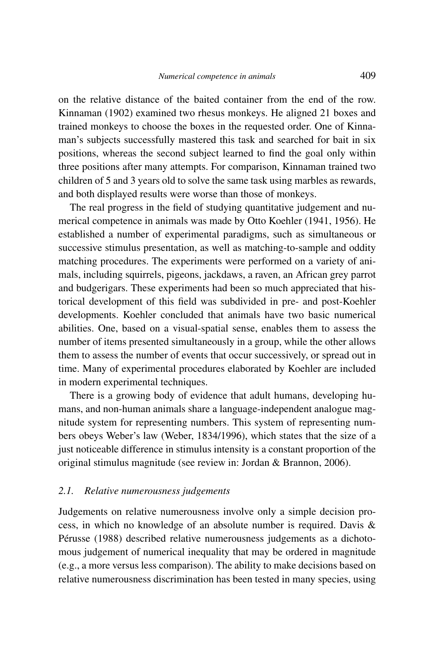on the relative distance of the baited container from the end of the row. Kinnaman (1902) examined two rhesus monkeys. He aligned 21 boxes and trained monkeys to choose the boxes in the requested order. One of Kinnaman's subjects successfully mastered this task and searched for bait in six positions, whereas the second subject learned to find the goal only within three positions after many attempts. For comparison, Kinnaman trained two children of 5 and 3 years old to solve the same task using marbles as rewards, and both displayed results were worse than those of monkeys.

The real progress in the field of studying quantitative judgement and numerical competence in animals was made by Otto Koehler (1941, 1956). He established a number of experimental paradigms, such as simultaneous or successive stimulus presentation, as well as matching-to-sample and oddity matching procedures. The experiments were performed on a variety of animals, including squirrels, pigeons, jackdaws, a raven, an African grey parrot and budgerigars. These experiments had been so much appreciated that historical development of this field was subdivided in pre- and post-Koehler developments. Koehler concluded that animals have two basic numerical abilities. One, based on a visual-spatial sense, enables them to assess the number of items presented simultaneously in a group, while the other allows them to assess the number of events that occur successively, or spread out in time. Many of experimental procedures elaborated by Koehler are included in modern experimental techniques.

There is a growing body of evidence that adult humans, developing humans, and non-human animals share a language-independent analogue magnitude system for representing numbers. This system of representing numbers obeys Weber's law (Weber, 1834/1996), which states that the size of a just noticeable difference in stimulus intensity is a constant proportion of the original stimulus magnitude (see review in: Jordan & Brannon, 2006).

#### *2.1. Relative numerousness judgements*

Judgements on relative numerousness involve only a simple decision process, in which no knowledge of an absolute number is required. Davis & Pérusse (1988) described relative numerousness judgements as a dichotomous judgement of numerical inequality that may be ordered in magnitude (e.g., a more versus less comparison). The ability to make decisions based on relative numerousness discrimination has been tested in many species, using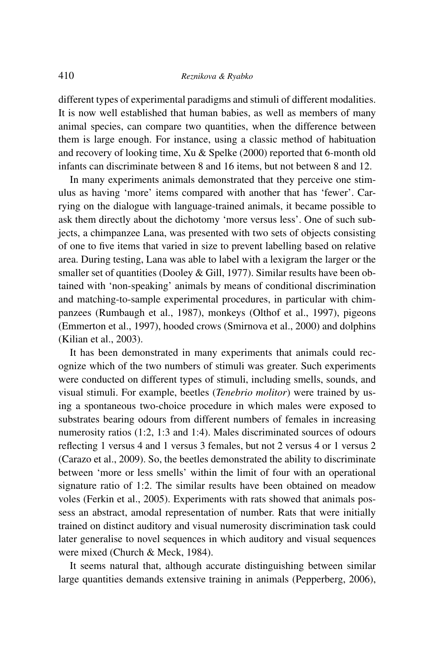different types of experimental paradigms and stimuli of different modalities. It is now well established that human babies, as well as members of many animal species, can compare two quantities, when the difference between them is large enough. For instance, using a classic method of habituation and recovery of looking time, Xu & Spelke (2000) reported that 6-month old infants can discriminate between 8 and 16 items, but not between 8 and 12.

In many experiments animals demonstrated that they perceive one stimulus as having 'more' items compared with another that has 'fewer'. Carrying on the dialogue with language-trained animals, it became possible to ask them directly about the dichotomy 'more versus less'. One of such subjects, a chimpanzee Lana, was presented with two sets of objects consisting of one to five items that varied in size to prevent labelling based on relative area. During testing, Lana was able to label with a lexigram the larger or the smaller set of quantities (Dooley & Gill, 1977). Similar results have been obtained with 'non-speaking' animals by means of conditional discrimination and matching-to-sample experimental procedures, in particular with chimpanzees (Rumbaugh et al., 1987), monkeys (Olthof et al., 1997), pigeons (Emmerton et al., 1997), hooded crows (Smirnova et al., 2000) and dolphins (Kilian et al., 2003).

It has been demonstrated in many experiments that animals could recognize which of the two numbers of stimuli was greater. Such experiments were conducted on different types of stimuli, including smells, sounds, and visual stimuli. For example, beetles (*Tenebrio molitor*) were trained by using a spontaneous two-choice procedure in which males were exposed to substrates bearing odours from different numbers of females in increasing numerosity ratios (1:2, 1:3 and 1:4). Males discriminated sources of odours reflecting 1 versus 4 and 1 versus 3 females, but not 2 versus 4 or 1 versus 2 (Carazo et al., 2009). So, the beetles demonstrated the ability to discriminate between 'more or less smells' within the limit of four with an operational signature ratio of 1:2. The similar results have been obtained on meadow voles (Ferkin et al., 2005). Experiments with rats showed that animals possess an abstract, amodal representation of number. Rats that were initially trained on distinct auditory and visual numerosity discrimination task could later generalise to novel sequences in which auditory and visual sequences were mixed (Church & Meck, 1984).

It seems natural that, although accurate distinguishing between similar large quantities demands extensive training in animals (Pepperberg, 2006),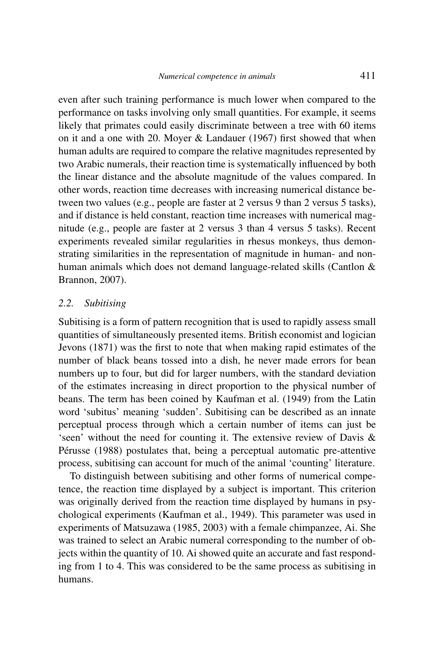even after such training performance is much lower when compared to the performance on tasks involving only small quantities. For example, it seems likely that primates could easily discriminate between a tree with 60 items on it and a one with 20. Moyer & Landauer (1967) first showed that when human adults are required to compare the relative magnitudes represented by two Arabic numerals, their reaction time is systematically influenced by both the linear distance and the absolute magnitude of the values compared. In other words, reaction time decreases with increasing numerical distance between two values (e.g., people are faster at 2 versus 9 than 2 versus 5 tasks), and if distance is held constant, reaction time increases with numerical magnitude (e.g., people are faster at 2 versus 3 than 4 versus 5 tasks). Recent experiments revealed similar regularities in rhesus monkeys, thus demonstrating similarities in the representation of magnitude in human- and nonhuman animals which does not demand language-related skills (Cantlon & Brannon, 2007).

## *2.2. Subitising*

Subitising is a form of pattern recognition that is used to rapidly assess small quantities of simultaneously presented items. British economist and logician Jevons (1871) was the first to note that when making rapid estimates of the number of black beans tossed into a dish, he never made errors for bean numbers up to four, but did for larger numbers, with the standard deviation of the estimates increasing in direct proportion to the physical number of beans. The term has been coined by Kaufman et al. (1949) from the Latin word 'subitus' meaning 'sudden'. Subitising can be described as an innate perceptual process through which a certain number of items can just be 'seen' without the need for counting it. The extensive review of Davis & Pérusse (1988) postulates that, being a perceptual automatic pre-attentive process, subitising can account for much of the animal 'counting' literature.

To distinguish between subitising and other forms of numerical competence, the reaction time displayed by a subject is important. This criterion was originally derived from the reaction time displayed by humans in psychological experiments (Kaufman et al., 1949). This parameter was used in experiments of Matsuzawa (1985, 2003) with a female chimpanzee, Ai. She was trained to select an Arabic numeral corresponding to the number of objects within the quantity of 10. Ai showed quite an accurate and fast responding from 1 to 4. This was considered to be the same process as subitising in humans.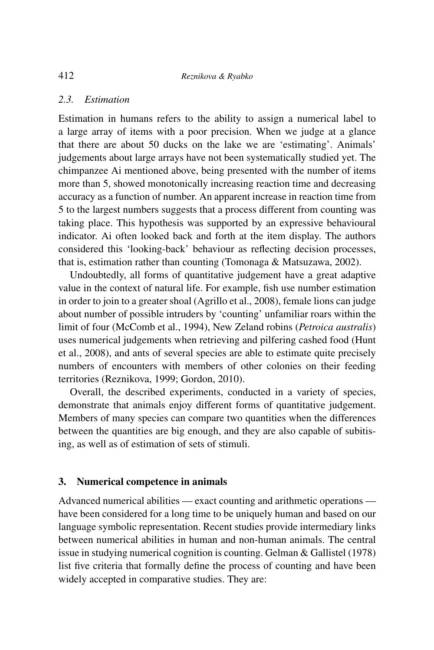#### *2.3. Estimation*

Estimation in humans refers to the ability to assign a numerical label to a large array of items with a poor precision. When we judge at a glance that there are about 50 ducks on the lake we are 'estimating'. Animals' judgements about large arrays have not been systematically studied yet. The chimpanzee Ai mentioned above, being presented with the number of items more than 5, showed monotonically increasing reaction time and decreasing accuracy as a function of number. An apparent increase in reaction time from 5 to the largest numbers suggests that a process different from counting was taking place. This hypothesis was supported by an expressive behavioural indicator. Ai often looked back and forth at the item display. The authors considered this 'looking-back' behaviour as reflecting decision processes, that is, estimation rather than counting (Tomonaga & Matsuzawa, 2002).

Undoubtedly, all forms of quantitative judgement have a great adaptive value in the context of natural life. For example, fish use number estimation in order to join to a greater shoal (Agrillo et al., 2008), female lions can judge about number of possible intruders by 'counting' unfamiliar roars within the limit of four (McComb et al., 1994), New Zeland robins (*Petroica australis*) uses numerical judgements when retrieving and pilfering cashed food (Hunt et al., 2008), and ants of several species are able to estimate quite precisely numbers of encounters with members of other colonies on their feeding territories (Reznikova, 1999; Gordon, 2010).

Overall, the described experiments, conducted in a variety of species, demonstrate that animals enjoy different forms of quantitative judgement. Members of many species can compare two quantities when the differences between the quantities are big enough, and they are also capable of subitising, as well as of estimation of sets of stimuli.

#### **3. Numerical competence in animals**

Advanced numerical abilities — exact counting and arithmetic operations have been considered for a long time to be uniquely human and based on our language symbolic representation. Recent studies provide intermediary links between numerical abilities in human and non-human animals. The central issue in studying numerical cognition is counting. Gelman & Gallistel (1978) list five criteria that formally define the process of counting and have been widely accepted in comparative studies. They are: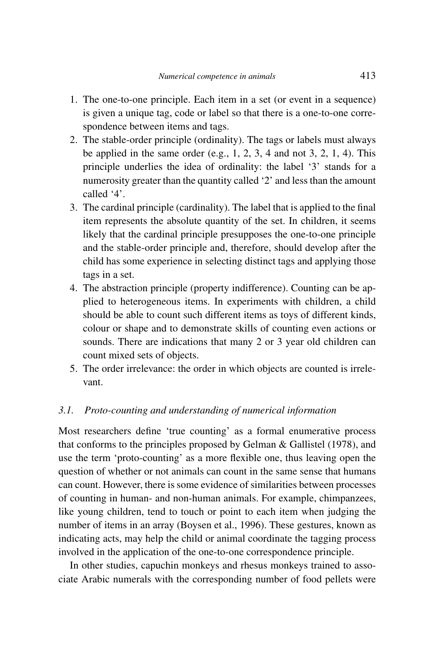- 1. The one-to-one principle. Each item in a set (or event in a sequence) is given a unique tag, code or label so that there is a one-to-one correspondence between items and tags.
- 2. The stable-order principle (ordinality). The tags or labels must always be applied in the same order  $(e.g., 1, 2, 3, 4, 4)$  and not 3, 2, 1, 4). This principle underlies the idea of ordinality: the label '3' stands for a numerosity greater than the quantity called '2' and less than the amount called '4'.
- 3. The cardinal principle (cardinality). The label that is applied to the final item represents the absolute quantity of the set. In children, it seems likely that the cardinal principle presupposes the one-to-one principle and the stable-order principle and, therefore, should develop after the child has some experience in selecting distinct tags and applying those tags in a set.
- 4. The abstraction principle (property indifference). Counting can be applied to heterogeneous items. In experiments with children, a child should be able to count such different items as toys of different kinds, colour or shape and to demonstrate skills of counting even actions or sounds. There are indications that many 2 or 3 year old children can count mixed sets of objects.
- 5. The order irrelevance: the order in which objects are counted is irrelevant.

### *3.1. Proto-counting and understanding of numerical information*

Most researchers define 'true counting' as a formal enumerative process that conforms to the principles proposed by Gelman & Gallistel (1978), and use the term 'proto-counting' as a more flexible one, thus leaving open the question of whether or not animals can count in the same sense that humans can count. However, there is some evidence of similarities between processes of counting in human- and non-human animals. For example, chimpanzees, like young children, tend to touch or point to each item when judging the number of items in an array (Boysen et al., 1996). These gestures, known as indicating acts, may help the child or animal coordinate the tagging process involved in the application of the one-to-one correspondence principle.

In other studies, capuchin monkeys and rhesus monkeys trained to associate Arabic numerals with the corresponding number of food pellets were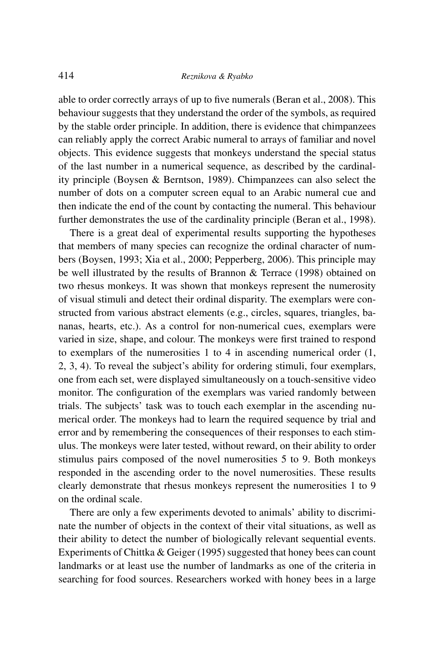able to order correctly arrays of up to five numerals (Beran et al., 2008). This behaviour suggests that they understand the order of the symbols, as required by the stable order principle. In addition, there is evidence that chimpanzees can reliably apply the correct Arabic numeral to arrays of familiar and novel objects. This evidence suggests that monkeys understand the special status of the last number in a numerical sequence, as described by the cardinality principle (Boysen & Berntson, 1989). Chimpanzees can also select the number of dots on a computer screen equal to an Arabic numeral cue and then indicate the end of the count by contacting the numeral. This behaviour further demonstrates the use of the cardinality principle (Beran et al., 1998).

There is a great deal of experimental results supporting the hypotheses that members of many species can recognize the ordinal character of numbers (Boysen, 1993; Xia et al., 2000; Pepperberg, 2006). This principle may be well illustrated by the results of Brannon & Terrace (1998) obtained on two rhesus monkeys. It was shown that monkeys represent the numerosity of visual stimuli and detect their ordinal disparity. The exemplars were constructed from various abstract elements (e.g., circles, squares, triangles, bananas, hearts, etc.). As a control for non-numerical cues, exemplars were varied in size, shape, and colour. The monkeys were first trained to respond to exemplars of the numerosities 1 to 4 in ascending numerical order (1, 2, 3, 4). To reveal the subject's ability for ordering stimuli, four exemplars, one from each set, were displayed simultaneously on a touch-sensitive video monitor. The configuration of the exemplars was varied randomly between trials. The subjects' task was to touch each exemplar in the ascending numerical order. The monkeys had to learn the required sequence by trial and error and by remembering the consequences of their responses to each stimulus. The monkeys were later tested, without reward, on their ability to order stimulus pairs composed of the novel numerosities 5 to 9. Both monkeys responded in the ascending order to the novel numerosities. These results clearly demonstrate that rhesus monkeys represent the numerosities 1 to 9 on the ordinal scale.

There are only a few experiments devoted to animals' ability to discriminate the number of objects in the context of their vital situations, as well as their ability to detect the number of biologically relevant sequential events. Experiments of Chittka & Geiger (1995) suggested that honey bees can count landmarks or at least use the number of landmarks as one of the criteria in searching for food sources. Researchers worked with honey bees in a large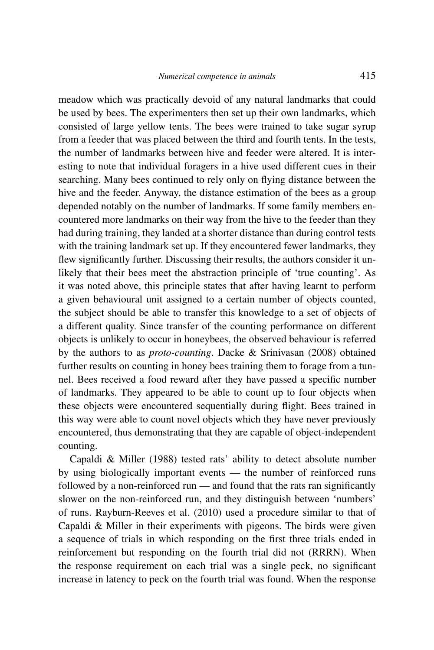meadow which was practically devoid of any natural landmarks that could be used by bees. The experimenters then set up their own landmarks, which consisted of large yellow tents. The bees were trained to take sugar syrup from a feeder that was placed between the third and fourth tents. In the tests, the number of landmarks between hive and feeder were altered. It is interesting to note that individual foragers in a hive used different cues in their searching. Many bees continued to rely only on flying distance between the hive and the feeder. Anyway, the distance estimation of the bees as a group depended notably on the number of landmarks. If some family members encountered more landmarks on their way from the hive to the feeder than they had during training, they landed at a shorter distance than during control tests with the training landmark set up. If they encountered fewer landmarks, they flew significantly further. Discussing their results, the authors consider it unlikely that their bees meet the abstraction principle of 'true counting'. As it was noted above, this principle states that after having learnt to perform a given behavioural unit assigned to a certain number of objects counted, the subject should be able to transfer this knowledge to a set of objects of a different quality. Since transfer of the counting performance on different objects is unlikely to occur in honeybees, the observed behaviour is referred by the authors to as *proto-counting*. Dacke & Srinivasan (2008) obtained further results on counting in honey bees training them to forage from a tunnel. Bees received a food reward after they have passed a specific number of landmarks. They appeared to be able to count up to four objects when these objects were encountered sequentially during flight. Bees trained in this way were able to count novel objects which they have never previously encountered, thus demonstrating that they are capable of object-independent counting.

Capaldi & Miller (1988) tested rats' ability to detect absolute number by using biologically important events — the number of reinforced runs followed by a non-reinforced run — and found that the rats ran significantly slower on the non-reinforced run, and they distinguish between 'numbers' of runs. Rayburn-Reeves et al. (2010) used a procedure similar to that of Capaldi & Miller in their experiments with pigeons. The birds were given a sequence of trials in which responding on the first three trials ended in reinforcement but responding on the fourth trial did not (RRRN). When the response requirement on each trial was a single peck, no significant increase in latency to peck on the fourth trial was found. When the response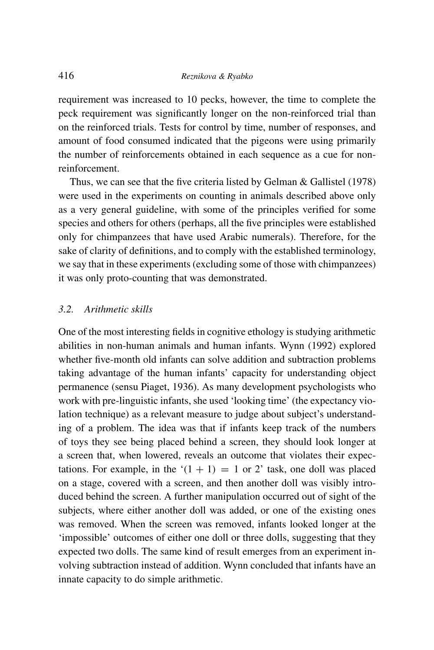requirement was increased to 10 pecks, however, the time to complete the peck requirement was significantly longer on the non-reinforced trial than on the reinforced trials. Tests for control by time, number of responses, and amount of food consumed indicated that the pigeons were using primarily the number of reinforcements obtained in each sequence as a cue for nonreinforcement.

Thus, we can see that the five criteria listed by Gelman & Gallistel (1978) were used in the experiments on counting in animals described above only as a very general guideline, with some of the principles verified for some species and others for others (perhaps, all the five principles were established only for chimpanzees that have used Arabic numerals). Therefore, for the sake of clarity of definitions, and to comply with the established terminology, we say that in these experiments (excluding some of those with chimpanzees) it was only proto-counting that was demonstrated.

#### *3.2. Arithmetic skills*

One of the most interesting fields in cognitive ethology is studying arithmetic abilities in non-human animals and human infants. Wynn (1992) explored whether five-month old infants can solve addition and subtraction problems taking advantage of the human infants' capacity for understanding object permanence (sensu Piaget, 1936). As many development psychologists who work with pre-linguistic infants, she used 'looking time' (the expectancy violation technique) as a relevant measure to judge about subject's understanding of a problem. The idea was that if infants keep track of the numbers of toys they see being placed behind a screen, they should look longer at a screen that, when lowered, reveals an outcome that violates their expectations. For example, in the  $(1 + 1) = 1$  or 2' task, one doll was placed on a stage, covered with a screen, and then another doll was visibly introduced behind the screen. A further manipulation occurred out of sight of the subjects, where either another doll was added, or one of the existing ones was removed. When the screen was removed, infants looked longer at the 'impossible' outcomes of either one doll or three dolls, suggesting that they expected two dolls. The same kind of result emerges from an experiment involving subtraction instead of addition. Wynn concluded that infants have an innate capacity to do simple arithmetic.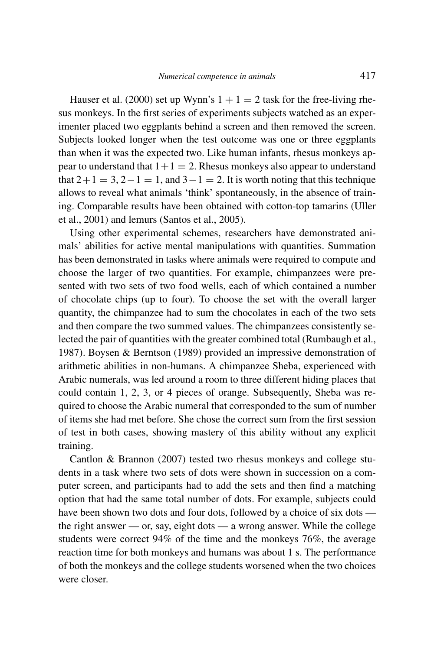Hauser et al. (2000) set up Wynn's  $1 + 1 = 2$  task for the free-living rhesus monkeys. In the first series of experiments subjects watched as an experimenter placed two eggplants behind a screen and then removed the screen. Subjects looked longer when the test outcome was one or three eggplants than when it was the expected two. Like human infants, rhesus monkeys appear to understand that  $1+1 = 2$ . Rhesus monkeys also appear to understand that  $2+1=3$ ,  $2-1=1$ , and  $3-1=2$ . It is worth noting that this technique allows to reveal what animals 'think' spontaneously, in the absence of training. Comparable results have been obtained with cotton-top tamarins (Uller et al., 2001) and lemurs (Santos et al., 2005).

Using other experimental schemes, researchers have demonstrated animals' abilities for active mental manipulations with quantities. Summation has been demonstrated in tasks where animals were required to compute and choose the larger of two quantities. For example, chimpanzees were presented with two sets of two food wells, each of which contained a number of chocolate chips (up to four). To choose the set with the overall larger quantity, the chimpanzee had to sum the chocolates in each of the two sets and then compare the two summed values. The chimpanzees consistently selected the pair of quantities with the greater combined total (Rumbaugh et al., 1987). Boysen & Berntson (1989) provided an impressive demonstration of arithmetic abilities in non-humans. A chimpanzee Sheba, experienced with Arabic numerals, was led around a room to three different hiding places that could contain 1, 2, 3, or 4 pieces of orange. Subsequently, Sheba was required to choose the Arabic numeral that corresponded to the sum of number of items she had met before. She chose the correct sum from the first session of test in both cases, showing mastery of this ability without any explicit training.

Cantlon & Brannon (2007) tested two rhesus monkeys and college students in a task where two sets of dots were shown in succession on a computer screen, and participants had to add the sets and then find a matching option that had the same total number of dots. For example, subjects could have been shown two dots and four dots, followed by a choice of six dots the right answer — or, say, eight dots — a wrong answer. While the college students were correct 94% of the time and the monkeys 76%, the average reaction time for both monkeys and humans was about 1 s. The performance of both the monkeys and the college students worsened when the two choices were closer.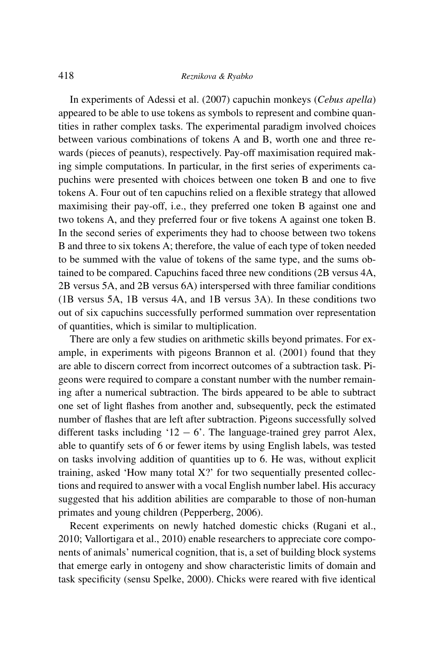In experiments of Adessi et al. (2007) capuchin monkeys (*Cebus apella*) appeared to be able to use tokens as symbols to represent and combine quantities in rather complex tasks. The experimental paradigm involved choices between various combinations of tokens A and B, worth one and three rewards (pieces of peanuts), respectively. Pay-off maximisation required making simple computations. In particular, in the first series of experiments capuchins were presented with choices between one token B and one to five tokens A. Four out of ten capuchins relied on a flexible strategy that allowed maximising their pay-off, i.e., they preferred one token B against one and two tokens A, and they preferred four or five tokens A against one token B. In the second series of experiments they had to choose between two tokens B and three to six tokens A; therefore, the value of each type of token needed to be summed with the value of tokens of the same type, and the sums obtained to be compared. Capuchins faced three new conditions (2B versus 4A, 2B versus 5A, and 2B versus 6A) interspersed with three familiar conditions (1B versus 5A, 1B versus 4A, and 1B versus 3A). In these conditions two out of six capuchins successfully performed summation over representation of quantities, which is similar to multiplication.

There are only a few studies on arithmetic skills beyond primates. For example, in experiments with pigeons Brannon et al. (2001) found that they are able to discern correct from incorrect outcomes of a subtraction task. Pigeons were required to compare a constant number with the number remaining after a numerical subtraction. The birds appeared to be able to subtract one set of light flashes from another and, subsequently, peck the estimated number of flashes that are left after subtraction. Pigeons successfully solved different tasks including '12  $-6$ '. The language-trained grey parrot Alex, able to quantify sets of 6 or fewer items by using English labels, was tested on tasks involving addition of quantities up to 6. He was, without explicit training, asked 'How many total X?' for two sequentially presented collections and required to answer with a vocal English number label. His accuracy suggested that his addition abilities are comparable to those of non-human primates and young children (Pepperberg, 2006).

Recent experiments on newly hatched domestic chicks (Rugani et al., 2010; Vallortigara et al., 2010) enable researchers to appreciate core components of animals' numerical cognition, that is, a set of building block systems that emerge early in ontogeny and show characteristic limits of domain and task specificity (sensu Spelke, 2000). Chicks were reared with five identical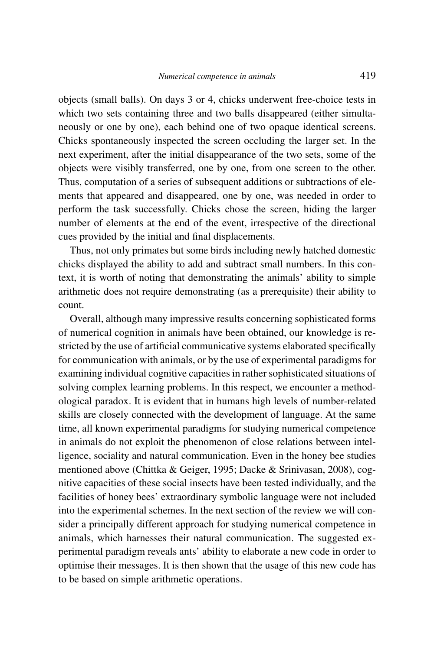objects (small balls). On days 3 or 4, chicks underwent free-choice tests in which two sets containing three and two balls disappeared (either simultaneously or one by one), each behind one of two opaque identical screens. Chicks spontaneously inspected the screen occluding the larger set. In the next experiment, after the initial disappearance of the two sets, some of the objects were visibly transferred, one by one, from one screen to the other. Thus, computation of a series of subsequent additions or subtractions of elements that appeared and disappeared, one by one, was needed in order to perform the task successfully. Chicks chose the screen, hiding the larger number of elements at the end of the event, irrespective of the directional cues provided by the initial and final displacements.

Thus, not only primates but some birds including newly hatched domestic chicks displayed the ability to add and subtract small numbers. In this context, it is worth of noting that demonstrating the animals' ability to simple arithmetic does not require demonstrating (as a prerequisite) their ability to count.

Overall, although many impressive results concerning sophisticated forms of numerical cognition in animals have been obtained, our knowledge is restricted by the use of artificial communicative systems elaborated specifically for communication with animals, or by the use of experimental paradigms for examining individual cognitive capacities in rather sophisticated situations of solving complex learning problems. In this respect, we encounter a methodological paradox. It is evident that in humans high levels of number-related skills are closely connected with the development of language. At the same time, all known experimental paradigms for studying numerical competence in animals do not exploit the phenomenon of close relations between intelligence, sociality and natural communication. Even in the honey bee studies mentioned above (Chittka & Geiger, 1995; Dacke & Srinivasan, 2008), cognitive capacities of these social insects have been tested individually, and the facilities of honey bees' extraordinary symbolic language were not included into the experimental schemes. In the next section of the review we will consider a principally different approach for studying numerical competence in animals, which harnesses their natural communication. The suggested experimental paradigm reveals ants' ability to elaborate a new code in order to optimise their messages. It is then shown that the usage of this new code has to be based on simple arithmetic operations.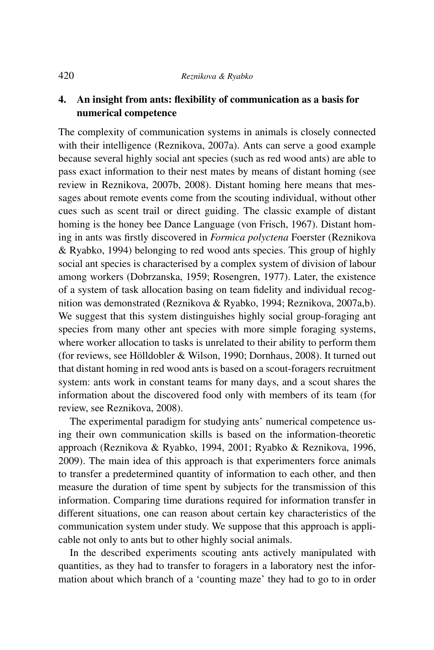## **4. An insight from ants: flexibility of communication as a basis for numerical competence**

The complexity of communication systems in animals is closely connected with their intelligence (Reznikova, 2007a). Ants can serve a good example because several highly social ant species (such as red wood ants) are able to pass exact information to their nest mates by means of distant homing (see review in Reznikova, 2007b, 2008). Distant homing here means that messages about remote events come from the scouting individual, without other cues such as scent trail or direct guiding. The classic example of distant homing is the honey bee Dance Language (von Frisch, 1967). Distant homing in ants was firstly discovered in *Formica polyctena* Foerster (Reznikova & Ryabko, 1994) belonging to red wood ants species. This group of highly social ant species is characterised by a complex system of division of labour among workers (Dobrzanska, 1959; Rosengren, 1977). Later, the existence of a system of task allocation basing on team fidelity and individual recognition was demonstrated (Reznikova & Ryabko, 1994; Reznikova, 2007a,b). We suggest that this system distinguishes highly social group-foraging ant species from many other ant species with more simple foraging systems, where worker allocation to tasks is unrelated to their ability to perform them (for reviews, see Hölldobler & Wilson, 1990; Dornhaus, 2008). It turned out that distant homing in red wood ants is based on a scout-foragers recruitment system: ants work in constant teams for many days, and a scout shares the information about the discovered food only with members of its team (for review, see Reznikova, 2008).

The experimental paradigm for studying ants' numerical competence using their own communication skills is based on the information-theoretic approach (Reznikova & Ryabko, 1994, 2001; Ryabko & Reznikova, 1996, 2009). The main idea of this approach is that experimenters force animals to transfer a predetermined quantity of information to each other, and then measure the duration of time spent by subjects for the transmission of this information. Comparing time durations required for information transfer in different situations, one can reason about certain key characteristics of the communication system under study. We suppose that this approach is applicable not only to ants but to other highly social animals.

In the described experiments scouting ants actively manipulated with quantities, as they had to transfer to foragers in a laboratory nest the information about which branch of a 'counting maze' they had to go to in order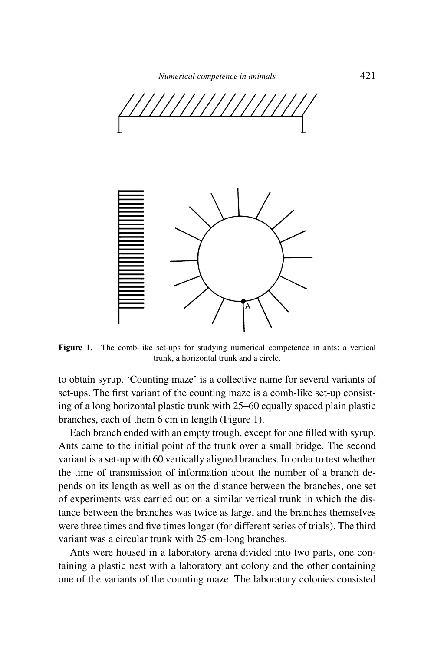

Figure 1. The comb-like set-ups for studying numerical competence in ants: a vertical trunk, a horizontal trunk and a circle.

to obtain syrup. 'Counting maze' is a collective name for several variants of set-ups. The first variant of the counting maze is a comb-like set-up consisting of a long horizontal plastic trunk with 25–60 equally spaced plain plastic branches, each of them 6 cm in length (Figure 1).

Each branch ended with an empty trough, except for one filled with syrup. Ants came to the initial point of the trunk over a small bridge. The second variant is a set-up with 60 vertically aligned branches. In order to test whether the time of transmission of information about the number of a branch depends on its length as well as on the distance between the branches, one set of experiments was carried out on a similar vertical trunk in which the distance between the branches was twice as large, and the branches themselves were three times and five times longer (for different series of trials). The third variant was a circular trunk with 25-cm-long branches.

Ants were housed in a laboratory arena divided into two parts, one containing a plastic nest with a laboratory ant colony and the other containing one of the variants of the counting maze. The laboratory colonies consisted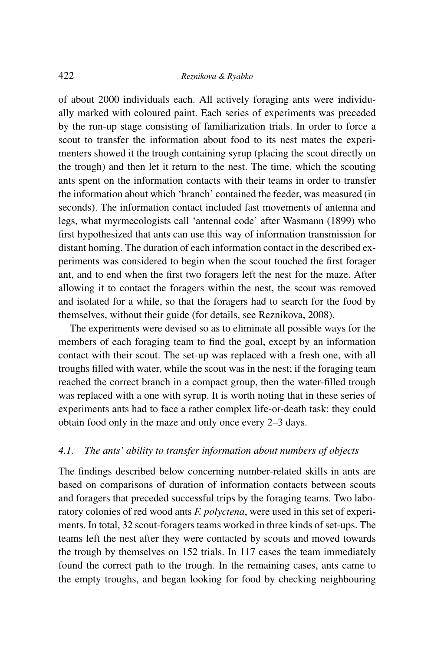of about 2000 individuals each. All actively foraging ants were individually marked with coloured paint. Each series of experiments was preceded by the run-up stage consisting of familiarization trials. In order to force a scout to transfer the information about food to its nest mates the experimenters showed it the trough containing syrup (placing the scout directly on the trough) and then let it return to the nest. The time, which the scouting ants spent on the information contacts with their teams in order to transfer the information about which 'branch' contained the feeder, was measured (in seconds). The information contact included fast movements of antenna and legs, what myrmecologists call 'antennal code' after Wasmann (1899) who first hypothesized that ants can use this way of information transmission for distant homing. The duration of each information contact in the described experiments was considered to begin when the scout touched the first forager ant, and to end when the first two foragers left the nest for the maze. After allowing it to contact the foragers within the nest, the scout was removed and isolated for a while, so that the foragers had to search for the food by themselves, without their guide (for details, see Reznikova, 2008).

The experiments were devised so as to eliminate all possible ways for the members of each foraging team to find the goal, except by an information contact with their scout. The set-up was replaced with a fresh one, with all troughs filled with water, while the scout was in the nest; if the foraging team reached the correct branch in a compact group, then the water-filled trough was replaced with a one with syrup. It is worth noting that in these series of experiments ants had to face a rather complex life-or-death task: they could obtain food only in the maze and only once every 2–3 days.

## *4.1. The ants' ability to transfer information about numbers of objects*

The findings described below concerning number-related skills in ants are based on comparisons of duration of information contacts between scouts and foragers that preceded successful trips by the foraging teams. Two laboratory colonies of red wood ants *F. polyctena*, were used in this set of experiments. In total, 32 scout-foragers teams worked in three kinds of set-ups. The teams left the nest after they were contacted by scouts and moved towards the trough by themselves on 152 trials. In 117 cases the team immediately found the correct path to the trough. In the remaining cases, ants came to the empty troughs, and began looking for food by checking neighbouring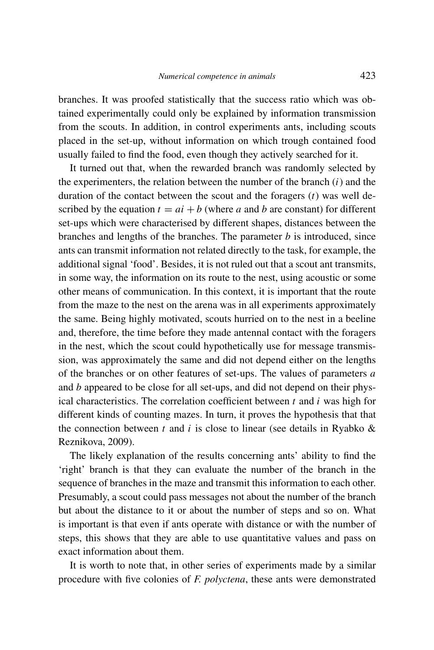branches. It was proofed statistically that the success ratio which was obtained experimentally could only be explained by information transmission from the scouts. In addition, in control experiments ants, including scouts placed in the set-up, without information on which trough contained food usually failed to find the food, even though they actively searched for it.

It turned out that, when the rewarded branch was randomly selected by the experimenters, the relation between the number of the branch (*i*) and the duration of the contact between the scout and the foragers (*t*) was well described by the equation  $t = ai + b$  (where *a* and *b* are constant) for different set-ups which were characterised by different shapes, distances between the branches and lengths of the branches. The parameter *b* is introduced, since ants can transmit information not related directly to the task, for example, the additional signal 'food'. Besides, it is not ruled out that a scout ant transmits, in some way, the information on its route to the nest, using acoustic or some other means of communication. In this context, it is important that the route from the maze to the nest on the arena was in all experiments approximately the same. Being highly motivated, scouts hurried on to the nest in a beeline and, therefore, the time before they made antennal contact with the foragers in the nest, which the scout could hypothetically use for message transmission, was approximately the same and did not depend either on the lengths of the branches or on other features of set-ups. The values of parameters *a* and *b* appeared to be close for all set-ups, and did not depend on their physical characteristics. The correlation coefficient between *t* and *i* was high for different kinds of counting mazes. In turn, it proves the hypothesis that that the connection between  $t$  and  $i$  is close to linear (see details in Ryabko  $\&$ Reznikova, 2009).

The likely explanation of the results concerning ants' ability to find the 'right' branch is that they can evaluate the number of the branch in the sequence of branches in the maze and transmit this information to each other. Presumably, a scout could pass messages not about the number of the branch but about the distance to it or about the number of steps and so on. What is important is that even if ants operate with distance or with the number of steps, this shows that they are able to use quantitative values and pass on exact information about them.

It is worth to note that, in other series of experiments made by a similar procedure with five colonies of *F. polyctena*, these ants were demonstrated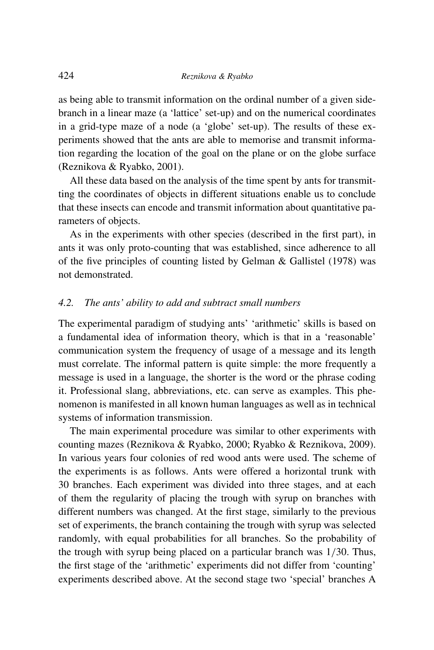as being able to transmit information on the ordinal number of a given sidebranch in a linear maze (a 'lattice' set-up) and on the numerical coordinates in a grid-type maze of a node (a 'globe' set-up). The results of these experiments showed that the ants are able to memorise and transmit information regarding the location of the goal on the plane or on the globe surface (Reznikova & Ryabko, 2001).

All these data based on the analysis of the time spent by ants for transmitting the coordinates of objects in different situations enable us to conclude that these insects can encode and transmit information about quantitative parameters of objects.

As in the experiments with other species (described in the first part), in ants it was only proto-counting that was established, since adherence to all of the five principles of counting listed by Gelman & Gallistel (1978) was not demonstrated.

#### *4.2. The ants' ability to add and subtract small numbers*

The experimental paradigm of studying ants' 'arithmetic' skills is based on a fundamental idea of information theory, which is that in a 'reasonable' communication system the frequency of usage of a message and its length must correlate. The informal pattern is quite simple: the more frequently a message is used in a language, the shorter is the word or the phrase coding it. Professional slang, abbreviations, etc. can serve as examples. This phenomenon is manifested in all known human languages as well as in technical systems of information transmission.

The main experimental procedure was similar to other experiments with counting mazes (Reznikova & Ryabko, 2000; Ryabko & Reznikova, 2009). In various years four colonies of red wood ants were used. The scheme of the experiments is as follows. Ants were offered a horizontal trunk with 30 branches. Each experiment was divided into three stages, and at each of them the regularity of placing the trough with syrup on branches with different numbers was changed. At the first stage, similarly to the previous set of experiments, the branch containing the trough with syrup was selected randomly, with equal probabilities for all branches. So the probability of the trough with syrup being placed on a particular branch was 1*/*30. Thus, the first stage of the 'arithmetic' experiments did not differ from 'counting' experiments described above. At the second stage two 'special' branches A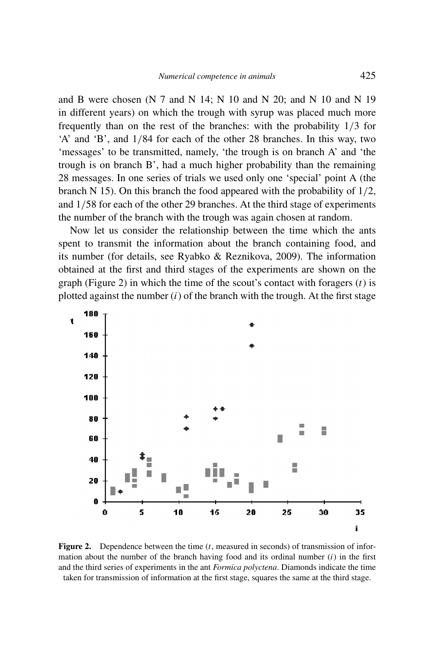and B were chosen  $(N 7$  and N 14; N 10 and N 20; and N 10 and N 19 in different years) on which the trough with syrup was placed much more frequently than on the rest of the branches: with the probability 1*/*3 for 'A' and 'B', and 1*/*84 for each of the other 28 branches. In this way, two 'messages' to be transmitted, namely, 'the trough is on branch A' and 'the trough is on branch B', had a much higher probability than the remaining 28 messages. In one series of trials we used only one 'special' point A (the branch N 15). On this branch the food appeared with the probability of 1*/*2, and 1*/*58 for each of the other 29 branches. At the third stage of experiments the number of the branch with the trough was again chosen at random.

Now let us consider the relationship between the time which the ants spent to transmit the information about the branch containing food, and its number (for details, see Ryabko & Reznikova, 2009). The information obtained at the first and third stages of the experiments are shown on the graph (Figure 2) in which the time of the scout's contact with foragers (*t*) is plotted against the number  $(i)$  of the branch with the trough. At the first stage



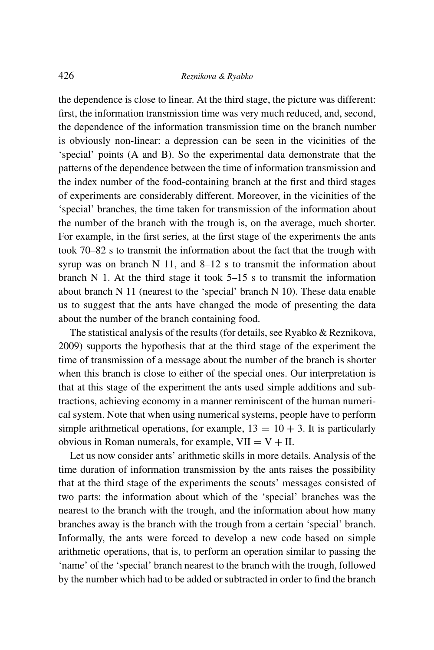the dependence is close to linear. At the third stage, the picture was different: first, the information transmission time was very much reduced, and, second, the dependence of the information transmission time on the branch number is obviously non-linear: a depression can be seen in the vicinities of the 'special' points (A and B). So the experimental data demonstrate that the patterns of the dependence between the time of information transmission and the index number of the food-containing branch at the first and third stages of experiments are considerably different. Moreover, in the vicinities of the 'special' branches, the time taken for transmission of the information about the number of the branch with the trough is, on the average, much shorter. For example, in the first series, at the first stage of the experiments the ants took 70–82 s to transmit the information about the fact that the trough with syrup was on branch  $N$  11, and  $8-12$  s to transmit the information about branch N 1. At the third stage it took 5–15 s to transmit the information about branch N 11 (nearest to the 'special' branch N 10). These data enable us to suggest that the ants have changed the mode of presenting the data about the number of the branch containing food.

The statistical analysis of the results (for details, see Ryabko & Reznikova, 2009) supports the hypothesis that at the third stage of the experiment the time of transmission of a message about the number of the branch is shorter when this branch is close to either of the special ones. Our interpretation is that at this stage of the experiment the ants used simple additions and subtractions, achieving economy in a manner reminiscent of the human numerical system. Note that when using numerical systems, people have to perform simple arithmetical operations, for example,  $13 = 10 + 3$ . It is particularly obvious in Roman numerals, for example,  $VII = V + II$ .

Let us now consider ants' arithmetic skills in more details. Analysis of the time duration of information transmission by the ants raises the possibility that at the third stage of the experiments the scouts' messages consisted of two parts: the information about which of the 'special' branches was the nearest to the branch with the trough, and the information about how many branches away is the branch with the trough from a certain 'special' branch. Informally, the ants were forced to develop a new code based on simple arithmetic operations, that is, to perform an operation similar to passing the 'name' of the 'special' branch nearest to the branch with the trough, followed by the number which had to be added or subtracted in order to find the branch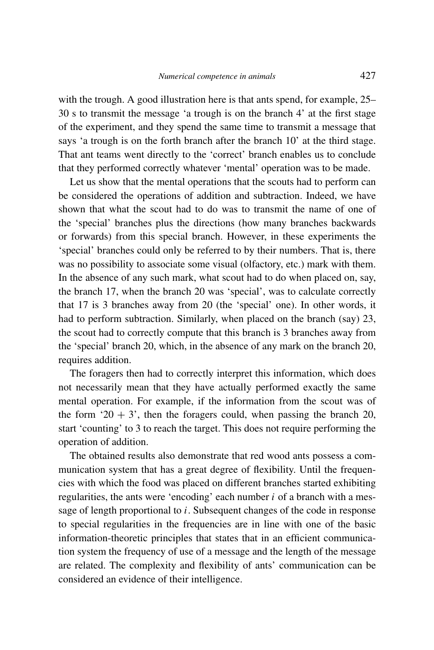with the trough. A good illustration here is that ants spend, for example, 25– 30 s to transmit the message 'a trough is on the branch 4' at the first stage of the experiment, and they spend the same time to transmit a message that says 'a trough is on the forth branch after the branch 10' at the third stage. That ant teams went directly to the 'correct' branch enables us to conclude that they performed correctly whatever 'mental' operation was to be made.

Let us show that the mental operations that the scouts had to perform can be considered the operations of addition and subtraction. Indeed, we have shown that what the scout had to do was to transmit the name of one of the 'special' branches plus the directions (how many branches backwards or forwards) from this special branch. However, in these experiments the 'special' branches could only be referred to by their numbers. That is, there was no possibility to associate some visual (olfactory, etc.) mark with them. In the absence of any such mark, what scout had to do when placed on, say, the branch 17, when the branch 20 was 'special', was to calculate correctly that 17 is 3 branches away from 20 (the 'special' one). In other words, it had to perform subtraction. Similarly, when placed on the branch (say) 23, the scout had to correctly compute that this branch is 3 branches away from the 'special' branch 20, which, in the absence of any mark on the branch 20, requires addition.

The foragers then had to correctly interpret this information, which does not necessarily mean that they have actually performed exactly the same mental operation. For example, if the information from the scout was of the form '20 + 3', then the foragers could, when passing the branch 20, start 'counting' to 3 to reach the target. This does not require performing the operation of addition.

The obtained results also demonstrate that red wood ants possess a communication system that has a great degree of flexibility. Until the frequencies with which the food was placed on different branches started exhibiting regularities, the ants were 'encoding' each number *i* of a branch with a message of length proportional to *i*. Subsequent changes of the code in response to special regularities in the frequencies are in line with one of the basic information-theoretic principles that states that in an efficient communication system the frequency of use of a message and the length of the message are related. The complexity and flexibility of ants' communication can be considered an evidence of their intelligence.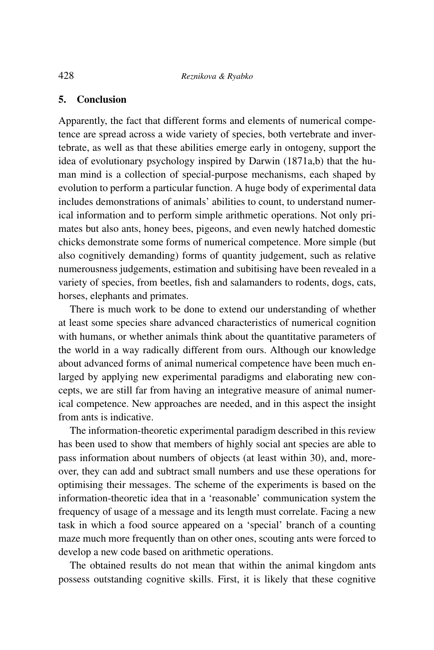#### **5. Conclusion**

Apparently, the fact that different forms and elements of numerical competence are spread across a wide variety of species, both vertebrate and invertebrate, as well as that these abilities emerge early in ontogeny, support the idea of evolutionary psychology inspired by Darwin (1871a,b) that the human mind is a collection of special-purpose mechanisms, each shaped by evolution to perform a particular function. A huge body of experimental data includes demonstrations of animals' abilities to count, to understand numerical information and to perform simple arithmetic operations. Not only primates but also ants, honey bees, pigeons, and even newly hatched domestic chicks demonstrate some forms of numerical competence. More simple (but also cognitively demanding) forms of quantity judgement, such as relative numerousness judgements, estimation and subitising have been revealed in a variety of species, from beetles, fish and salamanders to rodents, dogs, cats, horses, elephants and primates.

There is much work to be done to extend our understanding of whether at least some species share advanced characteristics of numerical cognition with humans, or whether animals think about the quantitative parameters of the world in a way radically different from ours. Although our knowledge about advanced forms of animal numerical competence have been much enlarged by applying new experimental paradigms and elaborating new concepts, we are still far from having an integrative measure of animal numerical competence. New approaches are needed, and in this aspect the insight from ants is indicative.

The information-theoretic experimental paradigm described in this review has been used to show that members of highly social ant species are able to pass information about numbers of objects (at least within 30), and, moreover, they can add and subtract small numbers and use these operations for optimising their messages. The scheme of the experiments is based on the information-theoretic idea that in a 'reasonable' communication system the frequency of usage of a message and its length must correlate. Facing a new task in which a food source appeared on a 'special' branch of a counting maze much more frequently than on other ones, scouting ants were forced to develop a new code based on arithmetic operations.

The obtained results do not mean that within the animal kingdom ants possess outstanding cognitive skills. First, it is likely that these cognitive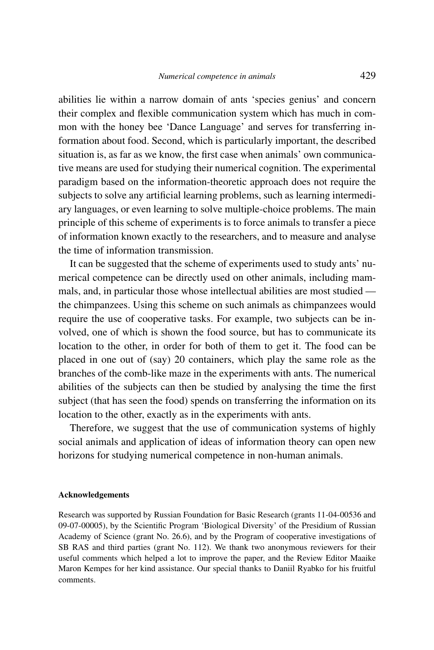abilities lie within a narrow domain of ants 'species genius' and concern their complex and flexible communication system which has much in common with the honey bee 'Dance Language' and serves for transferring information about food. Second, which is particularly important, the described situation is, as far as we know, the first case when animals' own communicative means are used for studying their numerical cognition. The experimental paradigm based on the information-theoretic approach does not require the subjects to solve any artificial learning problems, such as learning intermediary languages, or even learning to solve multiple-choice problems. The main principle of this scheme of experiments is to force animals to transfer a piece of information known exactly to the researchers, and to measure and analyse the time of information transmission.

It can be suggested that the scheme of experiments used to study ants' numerical competence can be directly used on other animals, including mammals, and, in particular those whose intellectual abilities are most studied the chimpanzees. Using this scheme on such animals as chimpanzees would require the use of cooperative tasks. For example, two subjects can be involved, one of which is shown the food source, but has to communicate its location to the other, in order for both of them to get it. The food can be placed in one out of (say) 20 containers, which play the same role as the branches of the comb-like maze in the experiments with ants. The numerical abilities of the subjects can then be studied by analysing the time the first subject (that has seen the food) spends on transferring the information on its location to the other, exactly as in the experiments with ants.

Therefore, we suggest that the use of communication systems of highly social animals and application of ideas of information theory can open new horizons for studying numerical competence in non-human animals.

#### **Acknowledgements**

Research was supported by Russian Foundation for Basic Research (grants 11-04-00536 and 09-07-00005), by the Scientific Program 'Biological Diversity' of the Presidium of Russian Academy of Science (grant No. 26.6), and by the Program of cooperative investigations of SB RAS and third parties (grant No. 112). We thank two anonymous reviewers for their useful comments which helped a lot to improve the paper, and the Review Editor Maaike Maron Kempes for her kind assistance. Our special thanks to Daniil Ryabko for his fruitful comments.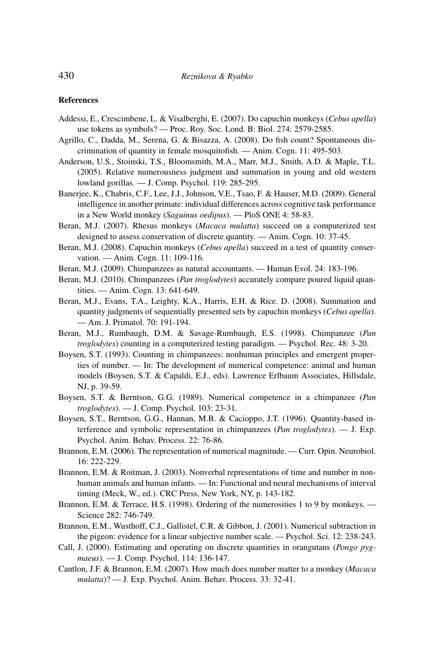#### **References**

- Addessi, E., Crescimbene, L. & Visalberghi, E. (2007). Do capuchin monkeys (*Cebus apella*) use tokens as symbols? — Proc. Roy. Soc. Lond. B: Biol. 274: 2579-2585.
- Agrillo, C., Dadda, M., Serena, G. & Bisazza, A. (2008). Do fish count? Spontaneous discrimination of quantity in female mosquitofish. — Anim. Cogn. 11: 495-503.
- Anderson, U.S., Stoinski, T.S., Bloomsmith, M.A., Marr, M.J., Smith, A.D. & Maple, T.L. (2005). Relative numerousness judgment and summation in young and old western lowland gorillas. — J. Comp. Psychol. 119: 285-295.
- Banerjee, K., Chabris, C.F., Lee, J.J., Johnson, V.E., Tsao, F. & Hauser, M.D. (2009). General intelligence in another primate: individual differences across cognitive task performance in a New World monkey (*Saguinus oedipus*). — PloS ONE 4: 58-83.
- Beran, M.J. (2007). Rhesus monkeys (*Macaca mulatta*) succeed on a computerized test designed to assess conservation of discrete quantity. — Anim. Cogn. 10: 37-45.
- Beran, M.J. (2008). Capuchin monkeys (*Cebus apella*) succeed in a test of quantity conservation. — Anim. Cogn. 11: 109-116.
- Beran, M.J. (2009). Chimpanzees as natural accountants. Human Evol. 24: 183-196.
- Beran, M.J. (2010). Chimpanzees (*Pan troglodytes*) accurately compare poured liquid quantities. — Anim. Cogn. 13: 641-649.
- Beran, M.J., Evans, T.A., Leighty, K.A., Harris, E.H. & Rice. D. (2008). Summation and quantity judgments of sequentially presented sets by capuchin monkeys (*Cebus apella*). — Am. J. Primatol. 70: 191-194.
- Beran, M.J., Rumbaugh, D.M. & Savage-Rumbaugh, E.S. (1998). Chimpanzee (*Pan troglodytes*) counting in a computerized testing paradigm. — Psychol. Rec. 48: 3-20.
- Boysen, S.T. (1993). Counting in chimpanzees: nonhuman principles and emergent properties of number. — In: The development of numerical competence: animal and human models (Boysen, S.T. & Capaldi, E.J., eds). Lawrence Erlbaum Associates, Hillsdale, NJ, p. 39-59.
- Boysen, S.T. & Berntson, G.G. (1989). Numerical competence in a chimpanzee (*Pan troglodytes*). — J. Comp. Psychol. 103: 23-31.
- Boysen, S.T., Berntson, G.G., Hannan, M.B. & Cacioppo, J.T. (1996). Quantity-based interference and symbolic representation in chimpanzees (*Pan troglodytes*). — J. Exp. Psychol. Anim. Behav. Process. 22: 76-86.
- Brannon, E.M. (2006). The representation of numerical magnitude. Curr. Opin. Neurobiol. 16: 222-229.
- Brannon, E.M. & Roitman, J. (2003). Nonverbal representations of time and number in nonhuman animals and human infants. — In: Functional and neural mechanisms of interval timing (Meck, W., ed.). CRC Press, New York, NY, p. 143-182.
- Brannon, E.M. & Terrace, H.S. (1998). Ordering of the numerosities 1 to 9 by monkeys. Science 282: 746-749.
- Brannon, E.M., Wusthoff, C.J., Gallistel, C.R. & Gibbon, J. (2001). Numerical subtraction in the pigeon: evidence for a linear subjective number scale. — Psychol. Sci. 12: 238-243.
- Call, J. (2000). Estimating and operating on discrete quantities in orangutans (*Pongo pygmaeus*). — J. Comp. Psychol. 114: 136-147.
- Cantlon, J.F. & Brannon, E.M. (2007). How much does number matter to a monkey (*Macaca mulatta*)? — J. Exp. Psychol. Anim. Behav. Process. 33: 32-41.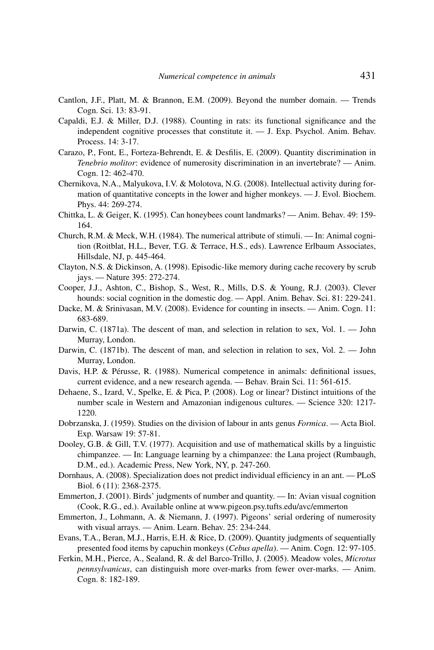- Cantlon, J.F., Platt, M. & Brannon, E.M. (2009). Beyond the number domain. Trends Cogn. Sci. 13: 83-91.
- Capaldi, E.J. & Miller, D.J. (1988). Counting in rats: its functional significance and the independent cognitive processes that constitute it. — J. Exp. Psychol. Anim. Behav. Process. 14: 3-17.
- Carazo, P., Font, E., Forteza-Behrendt, E. & Desfilis, E. (2009). Quantity discrimination in *Tenebrio molitor*: evidence of numerosity discrimination in an invertebrate? — Anim. Cogn. 12: 462-470.
- Chernikova, N.A., Malyukova, I.V. & Molotova, N.G. (2008). Intellectual activity during formation of quantitative concepts in the lower and higher monkeys. — J. Evol. Biochem. Phys. 44: 269-274.
- Chittka, L. & Geiger, K. (1995). Can honeybees count landmarks? Anim. Behav. 49: 159- 164.
- Church, R.M. & Meck, W.H. (1984). The numerical attribute of stimuli. In: Animal cognition (Roitblat, H.L., Bever, T.G. & Terrace, H.S., eds). Lawrence Erlbaum Associates, Hillsdale, NJ, p. 445-464.
- Clayton, N.S. & Dickinson, A. (1998). Episodic-like memory during cache recovery by scrub jays. — Nature 395: 272-274.
- Cooper, J.J., Ashton, C., Bishop, S., West, R., Mills, D.S. & Young, R.J. (2003). Clever hounds: social cognition in the domestic dog. — Appl. Anim. Behav. Sci. 81: 229-241.
- Dacke, M. & Srinivasan, M.V. (2008). Evidence for counting in insects. Anim. Cogn. 11: 683-689.
- Darwin, C. (1871a). The descent of man, and selection in relation to sex, Vol. 1. John Murray, London.
- Darwin, C. (1871b). The descent of man, and selection in relation to sex, Vol. 2. John Murray, London.
- Davis, H.P. & Pérusse, R. (1988). Numerical competence in animals: definitional issues, current evidence, and a new research agenda. — Behav. Brain Sci. 11: 561-615.
- Dehaene, S., Izard, V., Spelke, E. & Pica, P. (2008). Log or linear? Distinct intuitions of the number scale in Western and Amazonian indigenous cultures. — Science 320: 1217- 1220.
- Dobrzanska, J. (1959). Studies on the division of labour in ants genus *Formica*. Acta Biol. Exp. Warsaw 19: 57-81.
- Dooley, G.B. & Gill, T.V. (1977). Acquisition and use of mathematical skills by a linguistic chimpanzee. — In: Language learning by a chimpanzee: the Lana project (Rumbaugh, D.M., ed.). Academic Press, New York, NY, p. 247-260.
- Dornhaus, A. (2008). Specialization does not predict individual efficiency in an ant. PLoS Biol. 6 (11): 2368-2375.
- Emmerton, J. (2001). Birds' judgments of number and quantity. In: Avian visual cognition (Cook, R.G., ed.). Available online at www.pigeon.psy.tufts.edu/avc/emmerton
- Emmerton, J., Lohmann, A. & Niemann, J. (1997). Pigeons' serial ordering of numerosity with visual arrays. — Anim. Learn. Behav. 25: 234-244.
- Evans, T.A., Beran, M.J., Harris, E.H. & Rice, D. (2009). Quantity judgments of sequentially presented food items by capuchin monkeys (*Cebus apella*). — Anim. Cogn. 12: 97-105.
- Ferkin, M.H., Pierce, A., Sealand, R. & del Barco-Trillo, J. (2005). Meadow voles, *Microtus pennsylvanicus*, can distinguish more over-marks from fewer over-marks. — Anim. Cogn. 8: 182-189.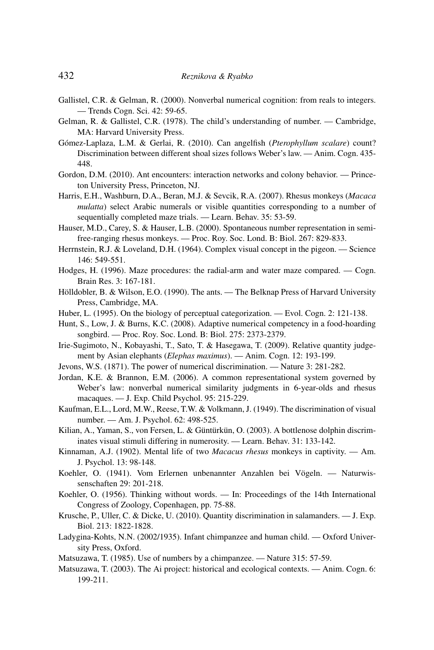- Gallistel, C.R. & Gelman, R. (2000). Nonverbal numerical cognition: from reals to integers. — Trends Cogn. Sci. 42: 59-65.
- Gelman, R. & Gallistel, C.R. (1978). The child's understanding of number. Cambridge, MA: Harvard University Press.
- Gómez-Laplaza, L.M. & Gerlai, R. (2010). Can angelfish (*Pterophyllum scalare*) count? Discrimination between different shoal sizes follows Weber's law. — Anim. Cogn. 435- 448.
- Gordon, D.M. (2010). Ant encounters: interaction networks and colony behavior. Princeton University Press, Princeton, NJ.
- Harris, E.H., Washburn, D.A., Beran, M.J. & Sevcik, R.A. (2007). Rhesus monkeys (*Macaca mulatta*) select Arabic numerals or visible quantities corresponding to a number of sequentially completed maze trials. — Learn. Behav. 35: 53-59.
- Hauser, M.D., Carey, S. & Hauser, L.B. (2000). Spontaneous number representation in semifree-ranging rhesus monkeys. — Proc. Roy. Soc. Lond. B: Biol. 267: 829-833.
- Herrnstein, R.J. & Loveland, D.H. (1964). Complex visual concept in the pigeon. Science 146: 549-551.
- Hodges, H. (1996). Maze procedures: the radial-arm and water maze compared. Cogn. Brain Res. 3: 167-181.
- Hölldobler, B. & Wilson, E.O. (1990). The ants. The Belknap Press of Harvard University Press, Cambridge, MA.
- Huber, L. (1995). On the biology of perceptual categorization. Evol. Cogn. 2: 121-138.
- Hunt, S., Low, J. & Burns, K.C. (2008). Adaptive numerical competency in a food-hoarding songbird. — Proc. Roy. Soc. Lond. B: Biol. 275: 2373-2379.
- Irie-Sugimoto, N., Kobayashi, T., Sato, T. & Hasegawa, T. (2009). Relative quantity judgement by Asian elephants (*Elephas maximus*). — Anim. Cogn. 12: 193-199.
- Jevons, W.S. (1871). The power of numerical discrimination. Nature 3: 281-282.
- Jordan, K.E. & Brannon, E.M. (2006). A common representational system governed by Weber's law: nonverbal numerical similarity judgments in 6-year-olds and rhesus macaques. — J. Exp. Child Psychol. 95: 215-229.
- Kaufman, E.L., Lord, M.W., Reese, T.W. & Volkmann, J. (1949). The discrimination of visual number. — Am. J. Psychol. 62: 498-525.
- Kilian, A., Yaman, S., von Fersen, L. & Güntürkün, O. (2003). A bottlenose dolphin discriminates visual stimuli differing in numerosity. — Learn. Behav. 31: 133-142.
- Kinnaman, A.J. (1902). Mental life of two *Macacus rhesus* monkeys in captivity. Am. J. Psychol. 13: 98-148.
- Koehler, O. (1941). Vom Erlernen unbenannter Anzahlen bei Vögeln. Naturwissenschaften 29: 201-218.
- Koehler, O. (1956). Thinking without words. In: Proceedings of the 14th International Congress of Zoology, Copenhagen, pp. 75-88.
- Krusche, P., Uller, C. & Dicke, U. (2010). Quantity discrimination in salamanders. J. Exp. Biol. 213: 1822-1828.
- Ladygina-Kohts, N.N. (2002/1935). Infant chimpanzee and human child. Oxford University Press, Oxford.
- Matsuzawa, T. (1985). Use of numbers by a chimpanzee. Nature 315: 57-59.
- Matsuzawa, T. (2003). The Ai project: historical and ecological contexts. Anim. Cogn. 6: 199-211.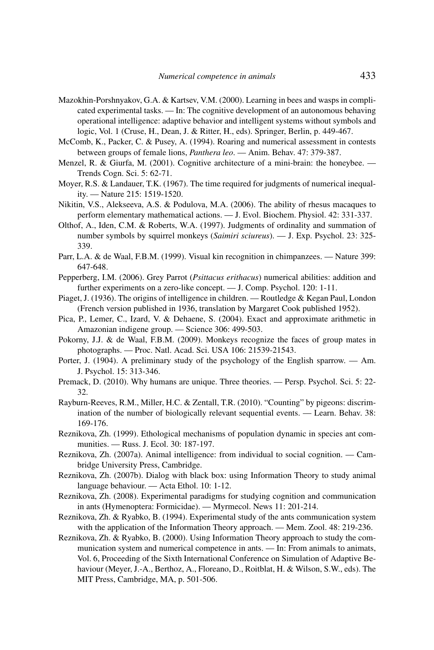- Mazokhin-Porshnyakov, G.A. & Kartsev, V.M. (2000). Learning in bees and wasps in complicated experimental tasks. — In: The cognitive development of an autonomous behaving operational intelligence: adaptive behavior and intelligent systems without symbols and logic, Vol. 1 (Cruse, H., Dean, J. & Ritter, H., eds). Springer, Berlin, p. 449-467.
- McComb, K., Packer, C. & Pusey, A. (1994). Roaring and numerical assessment in contests between groups of female lions, *Panthera leo*. — Anim. Behav. 47: 379-387.
- Menzel, R. & Giurfa, M. (2001). Cognitive architecture of a mini-brain: the honeybee. Trends Cogn. Sci. 5: 62-71.
- Moyer, R.S. & Landauer, T.K. (1967). The time required for judgments of numerical inequality. — Nature 215: 1519-1520.
- Nikitin, V.S., Alekseeva, A.S. & Podulova, M.A. (2006). The ability of rhesus macaques to perform elementary mathematical actions. — J. Evol. Biochem. Physiol. 42: 331-337.
- Olthof, A., Iden, C.M. & Roberts, W.A. (1997). Judgments of ordinality and summation of number symbols by squirrel monkeys (*Saimiri sciureus*). — J. Exp. Psychol. 23: 325- 339.
- Parr, L.A. & de Waal, F.B.M. (1999). Visual kin recognition in chimpanzees. Nature 399: 647-648.
- Pepperberg, I.M. (2006). Grey Parrot (*Psittacus erithacus*) numerical abilities: addition and further experiments on a zero-like concept. — J. Comp. Psychol. 120: 1-11.
- Piaget, J. (1936). The origins of intelligence in children. Routledge & Kegan Paul, London (French version published in 1936, translation by Margaret Cook published 1952).
- Pica, P., Lemer, C., Izard, V. & Dehaene, S. (2004). Exact and approximate arithmetic in Amazonian indigene group. — Science 306: 499-503.
- Pokorny, J.J. & de Waal, F.B.M. (2009). Monkeys recognize the faces of group mates in photographs. — Proc. Natl. Acad. Sci. USA 106: 21539-21543.
- Porter, J. (1904). A preliminary study of the psychology of the English sparrow. Am. J. Psychol. 15: 313-346.
- Premack, D. (2010). Why humans are unique. Three theories. Persp. Psychol. Sci. 5: 22- 32.
- Rayburn-Reeves, R.M., Miller, H.C. & Zentall, T.R. (2010). "Counting" by pigeons: discrimination of the number of biologically relevant sequential events. — Learn. Behav. 38: 169-176.
- Reznikova, Zh. (1999). Ethological mechanisms of population dynamic in species ant communities. — Russ. J. Ecol. 30: 187-197.
- Reznikova, Zh. (2007a). Animal intelligence: from individual to social cognition. Cambridge University Press, Cambridge.
- Reznikova, Zh. (2007b). Dialog with black box: using Information Theory to study animal language behaviour. — Acta Ethol. 10: 1-12.
- Reznikova, Zh. (2008). Experimental paradigms for studying cognition and communication in ants (Hymenoptera: Formicidae). — Myrmecol. News 11: 201-214.
- Reznikova, Zh. & Ryabko, B. (1994). Experimental study of the ants communication system with the application of the Information Theory approach. — Mem. Zool. 48: 219-236.
- Reznikova, Zh. & Ryabko, B. (2000). Using Information Theory approach to study the communication system and numerical competence in ants. — In: From animals to animats, Vol. 6, Proceeding of the Sixth International Conference on Simulation of Adaptive Behaviour (Meyer, J.-A., Berthoz, A., Floreano, D., Roitblat, H. & Wilson, S.W., eds). The MIT Press, Cambridge, MA, p. 501-506.